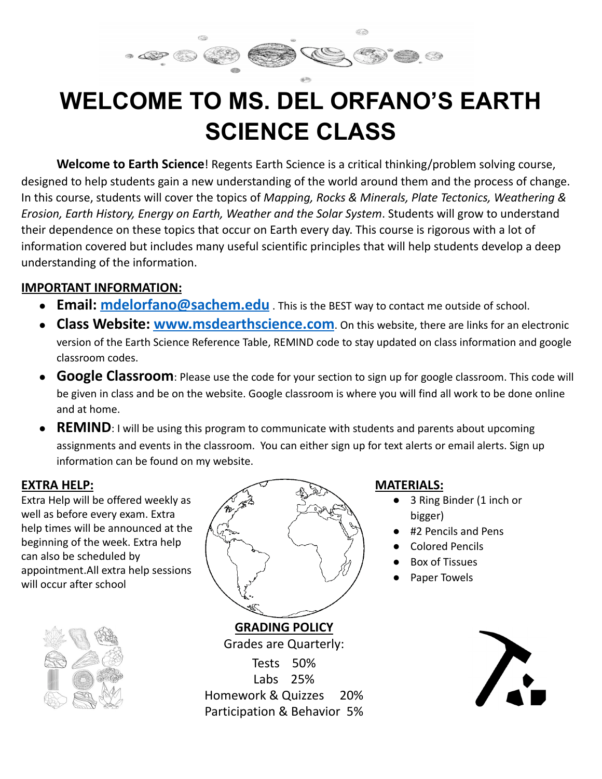# **WELCOME TO MS. DEL ORFANO'S EARTH SCIENCE CLASS**

Œ

**Welcome to Earth Science**! Regents Earth Science is a critical thinking/problem solving course, designed to help students gain a new understanding of the world around them and the process of change. In this course, students will cover the topics of *Mapping, Rocks & Minerals, Plate Tectonics, Weathering & Erosion, Earth History, Energy on Earth, Weather and the Solar System*. Students will grow to understand their dependence on these topics that occur on Earth every day. This course is rigorous with a lot of information covered but includes many useful scientific principles that will help students develop a deep understanding of the information.

# **IMPORTANT INFORMATION:**

- **Email: [mdelorfano@sachem.edu](mailto:mdelorfano@sachem.edu)** . This is the BEST way to contact me outside of school.
- **Class Website: [www.msdearthscience.com](http://www.msdearthscience.com)**. On this website, there are links for an electronic version of the Earth Science Reference Table, REMIND code to stay updated on class information and google classroom codes.
- **Google Classroom**: Please use the code for your section to sign up for google classroom. This code will be given in class and be on the website. Google classroom is where you will find all work to be done online and at home.
- **REMIND**: I will be using this program to communicate with students and parents about upcoming assignments and events in the classroom. You can either sign up for text alerts or email alerts. Sign up information can be found on my website.

#### **EXTRA HELP:**

Extra Help will be offered weekly as well as before every exam. Extra help times will be announced at the beginning of the week. Extra help can also be scheduled by appointment.All extra help sessions will occur after school





Grades are Quarterly: Tests 50% Labs 25% Homework & Quizzes 20% Participation & Behavior 5%

#### **MATERIALS:**

- 3 Ring Binder (1 inch or bigger)
	- #2 Pencils and Pens
	- **Colored Pencils**
	- Box of Tissues
	- Paper Towels